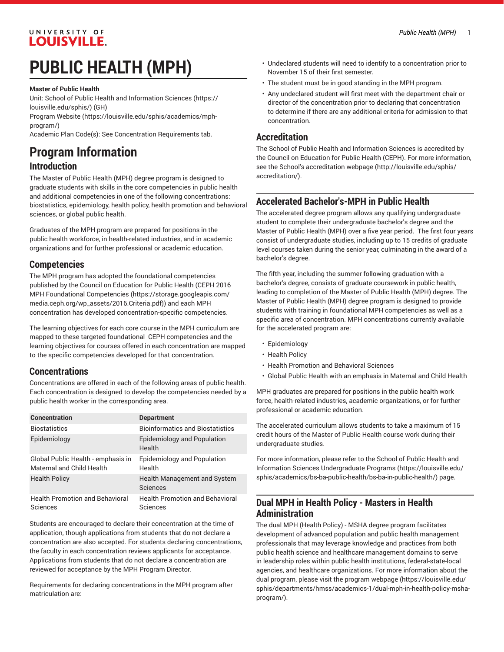# **PUBLIC HEALTH (MPH)**

### **Master of Public Health**

Unit: [School of Public Health and Information Sciences](https://louisville.edu/sphis/) ([https://](https://louisville.edu/sphis/) [louisville.edu/sphis/](https://louisville.edu/sphis/)) (GH)

[Program](https://louisville.edu/sphis/academics/mph-program/) Website [\(https://louisville.edu/sphis/academics/mph](https://louisville.edu/sphis/academics/mph-program/)[program/\)](https://louisville.edu/sphis/academics/mph-program/)

Academic Plan Code(s): See Concentration Requirements tab.

# **Program Information**

### **Introduction**

The Master of Public Health (MPH) degree program is designed to graduate students with skills in the core competencies in public health and additional competencies in one of the following concentrations: biostatistics, epidemiology, health policy, health promotion and behavioral sciences, or global public health.

Graduates of the MPH program are prepared for positions in the public health workforce, in health-related industries, and in academic organizations and for further professional or academic education.

### **Competencies**

The MPH program has adopted the foundational competencies published by the Council on Education for Public Health [\(CEPH 2016](https://storage.googleapis.com/media.ceph.org/wp_assets/2016.Criteria.pdf) MPH Foundational [Competencies \(https://storage.googleapis.com/](https://storage.googleapis.com/media.ceph.org/wp_assets/2016.Criteria.pdf) [media.ceph.org/wp\\_assets/2016.Criteria.pdf\)](https://storage.googleapis.com/media.ceph.org/wp_assets/2016.Criteria.pdf)) and each MPH concentration has developed concentration-specific competencies.

The learning objectives for each core course in the MPH curriculum are mapped to these targeted foundational CEPH competencies and the learning objectives for courses offered in each concentration are mapped to the specific competencies developed for that concentration.

### **Concentrations**

Concentrations are offered in each of the following areas of public health. Each concentration is designed to develop the competencies needed by a public health worker in the corresponding area.

| <b>Concentration</b>                                            | <b>Department</b>                                  |
|-----------------------------------------------------------------|----------------------------------------------------|
| <b>Biostatistics</b>                                            | <b>Bioinformatics and Biostatistics</b>            |
| Epidemiology                                                    | <b>Epidemiology and Population</b><br>Health       |
| Global Public Health - emphasis in<br>Maternal and Child Health | Epidemiology and Population<br>Health              |
| <b>Health Policy</b>                                            | Health Management and System<br>Sciences           |
| <b>Health Promotion and Behavioral</b><br>Sciences              | <b>Health Promotion and Behavioral</b><br>Sciences |

Students are encouraged to declare their concentration at the time of application, though applications from students that do not declare a concentration are also accepted. For students declaring concentrations, the faculty in each concentration reviews applicants for acceptance. Applications from students that do not declare a concentration are reviewed for acceptance by the MPH Program Director.

Requirements for declaring concentrations in the MPH program after matriculation are:

- Undeclared students will need to identify to a concentration prior to November 15 of their first semester.
- The student must be in good standing in the MPH program.
- Any undeclared student will first meet with the department chair or director of the concentration prior to declaring that concentration to determine if there are any additional criteria for admission to that concentration.

### **Accreditation**

The School of Public Health and Information Sciences is accredited by the Council on Education for Public Health (CEPH). For more information, see the School's [accreditation](http://louisville.edu/sphis/accreditation/) webpage [\(http://louisville.edu/sphis/](http://louisville.edu/sphis/accreditation/) [accreditation/](http://louisville.edu/sphis/accreditation/)).

### **Accelerated Bachelor's-MPH in Public Health**

The accelerated degree program allows any qualifying undergraduate student to complete their undergraduate bachelor's degree and the Master of Public Health (MPH) over a five year period. The first four years consist of undergraduate studies, including up to 15 credits of graduate level courses taken during the senior year, culminating in the award of a bachelor's degree.

The fifth year, including the summer following graduation with a bachelor's degree, consists of graduate coursework in public health, leading to completion of the Master of Public Health (MPH) degree. The Master of Public Health (MPH) degree program is designed to provide students with training in foundational MPH competencies as well as a specific area of concentration. MPH concentrations currently available for the accelerated program are:

- Epidemiology
- Health Policy
- Health Promotion and Behavioral Sciences
- Global Public Health with an emphasis in Maternal and Child Health

MPH graduates are prepared for positions in the public health work force, health-related industries, academic organizations, or for further professional or academic education.

The accelerated curriculum allows students to take a maximum of 15 credit hours of the Master of Public Health course work during their undergraduate studies.

For more information, please refer to the [School of Public Health and](https://louisville.edu/sphis/academics/bs-ba-public-health/bs-ba-in-public-health/) Information Sciences [Undergraduate](https://louisville.edu/sphis/academics/bs-ba-public-health/bs-ba-in-public-health/) Programs [\(https://louisville.edu/](https://louisville.edu/sphis/academics/bs-ba-public-health/bs-ba-in-public-health/) [sphis/academics/bs-ba-public-health/bs-ba-in-public-health/](https://louisville.edu/sphis/academics/bs-ba-public-health/bs-ba-in-public-health/)) page.

### **Dual MPH in Health Policy - Masters in Health Administration**

The dual MPH (Health Policy) - MSHA degree program facilitates development of advanced population and public health management professionals that may leverage knowledge and practices from both public health science and healthcare management domains to serve in leadership roles within public health institutions, federal-state-local agencies, and healthcare organizations. For more information about the dual program, please visit the program [webpage \(https://louisville.edu/](https://louisville.edu/sphis/departments/hmss/academics-1/dual-mph-in-health-policy-msha-program/) [sphis/departments/hmss/academics-1/dual-mph-in-health-policy-msha](https://louisville.edu/sphis/departments/hmss/academics-1/dual-mph-in-health-policy-msha-program/)[program/](https://louisville.edu/sphis/departments/hmss/academics-1/dual-mph-in-health-policy-msha-program/)).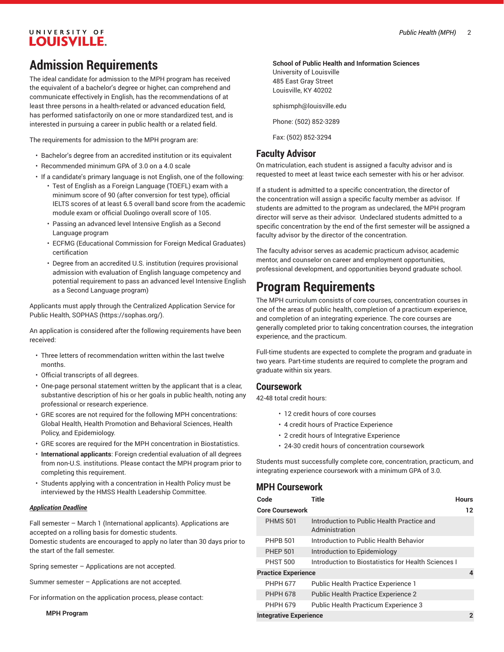# **Admission Requirements**

The ideal candidate for admission to the MPH program has received the equivalent of a bachelor's degree or higher, can comprehend and communicate effectively in English, has the recommendations of at least three persons in a health-related or advanced education field, has performed satisfactorily on one or more standardized test, and is interested in pursuing a career in public health or a related field.

The requirements for admission to the MPH program are:

- Bachelor's degree from an accredited institution or its equivalent
- Recommended minimum GPA of 3.0 on a 4.0 scale
- If a candidate's primary language is not English, one of the following:
	- Test of English as a Foreign Language (TOEFL) exam with a minimum score of 90 (after conversion for test type), official IELTS scores of at least 6.5 overall band score from the academic module exam or official Duolingo overall score of 105.
	- Passing an advanced level Intensive English as a Second Language program
	- ECFMG (Educational Commission for Foreign Medical Graduates) certification
	- Degree from an accredited U.S. institution (requires provisional admission with evaluation of English language competency and potential requirement to pass an advanced level Intensive English as a Second Language program)

Applicants must apply through the Centralized Application Service for Public Health, [SOPHAS](https://sophas.org/) ([https://sophas.org/\)](https://sophas.org/).

An application is considered after the following requirements have been received:

- Three letters of recommendation written within the last twelve months.
- Official transcripts of all degrees.
- One-page personal statement written by the applicant that is a clear, substantive description of his or her goals in public health, noting any professional or research experience.
- GRE scores are not required for the following MPH concentrations: Global Health, Health Promotion and Behavioral Sciences, Health Policy, and Epidemiology.
- GRE scores are required for the MPH concentration in Biostatistics.
- **International applicants**: Foreign credential evaluation of all degrees from non-U.S. institutions. Please contact the MPH program prior to completing this requirement.
- Students applying with a concentration in Health Policy must be interviewed by the HMSS Health Leadership Committee.

#### *Application Deadline*

Fall semester – March 1 (International applicants). Applications are accepted on a rolling basis for domestic students.

Domestic students are encouraged to apply no later than 30 days prior to the start of the fall semester.

Spring semester – Applications are not accepted.

Summer semester – Applications are not accepted.

For information on the application process, please contact:

**MPH Program**

#### **School of Public Health and Information Sciences**

University of Louisville 485 East Gray Street Louisville, KY 40202

[sphismph@louisville.edu](mailto:sphismph@louisville.edu)

Phone: (502) 852-3289

Fax: (502) 852-3294

### **Faculty Advisor**

On matriculation, each student is assigned a faculty advisor and is requested to meet at least twice each semester with his or her advisor.

If a student is admitted to a specific concentration, the director of the concentration will assign a specific faculty member as advisor. If students are admitted to the program as undeclared, the MPH program director will serve as their advisor. Undeclared students admitted to a specific concentration by the end of the first semester will be assigned a faculty advisor by the director of the concentration.

The faculty advisor serves as academic practicum advisor, academic mentor, and counselor on career and employment opportunities, professional development, and opportunities beyond graduate school.

## **Program Requirements**

The MPH curriculum consists of core courses, concentration courses in one of the areas of public health, completion of a practicum experience, and completion of an integrating experience. The core courses are generally completed prior to taking concentration courses, the integration experience, and the practicum.

Full-time students are expected to complete the program and graduate in two years. Part-time students are required to complete the program and graduate within six years.

### **Coursework**

42-48 total credit hours:

- 12 credit hours of core courses
- 4 credit hours of Practice Experience
- 2 credit hours of Integrative Experience
- 24-30 credit hours of concentration coursework

Students must successfully complete core, concentration, practicum, and integrating experience coursework with a minimum GPA of 3.0.

### **MPH Coursework**

| Code                          | Title                                                        | <b>Hours</b> |
|-------------------------------|--------------------------------------------------------------|--------------|
| <b>Core Coursework</b>        |                                                              | 12           |
| <b>PHMS 501</b>               | Introduction to Public Health Practice and<br>Administration |              |
| <b>PHPB 501</b>               | Introduction to Public Health Behavior                       |              |
| <b>PHEP 501</b>               | Introduction to Epidemiology                                 |              |
| <b>PHST 500</b>               | Introduction to Biostatistics for Health Sciences I          |              |
| <b>Practice Experience</b>    |                                                              |              |
| <b>PHPH 677</b>               | <b>Public Health Practice Experience 1</b>                   |              |
| <b>PHPH 678</b>               | Public Health Practice Experience 2                          |              |
| <b>PHPH 679</b>               | Public Health Practicum Experience 3                         |              |
| <b>Integrative Experience</b> |                                                              | 2            |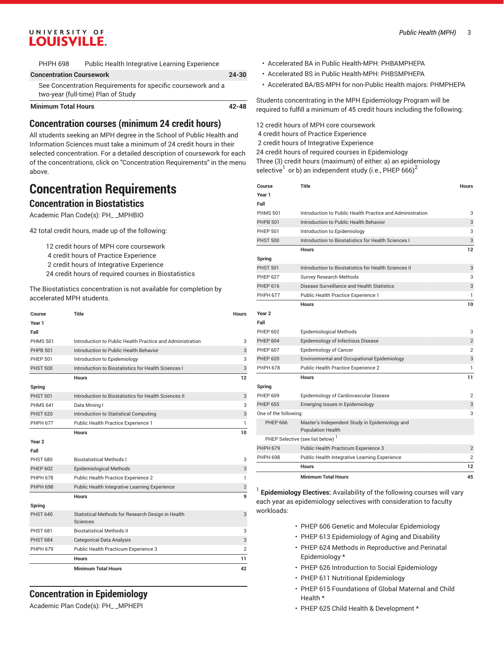| <b>PHPH 698</b>            | Public Health Integrative Learning Experience |
|----------------------------|-----------------------------------------------|
| Ospanienskiem Osponianiens |                                               |

| <b>Concentration Coursework</b>                              | $24 - 30$ |
|--------------------------------------------------------------|-----------|
| See Concentration Requirements for specific coursework and a |           |
| two-year (full-time) Plan of Study                           |           |
| <b>Minimum Total Hours</b>                                   | 42-48     |

### **Concentration courses (minimum 24 credit hours)**

All students seeking an MPH degree in the School of Public Health and Information Sciences must take a minimum of 24 credit hours in their selected concentration. For a detailed description of coursework for each of the concentrations, click on "Concentration Requirements" in the menu above.

# **Concentration Requirements**

### **Concentration in Biostatistics**

Academic Plan Code(s): PH\_ \_MPHBIO

42 total credit hours, made up of the following:

 credit hours of MPH core coursework credit hours of Practice Experience credit hours of Integrative Experience credit hours of required courses in Biostatistics

The Biostatistics concentration is not available for completion by accelerated MPH students.

| Course            | Title                                                     | <b>Hours</b>   |
|-------------------|-----------------------------------------------------------|----------------|
| Year 1            |                                                           |                |
| Fall              |                                                           |                |
| <b>PHMS 501</b>   | Introduction to Public Health Practice and Administration | 3              |
| <b>PHPB 501</b>   | Introduction to Public Health Behavior                    | 3              |
| <b>PHEP 501</b>   | Introduction to Epidemiology                              | 3              |
| <b>PHST 500</b>   | Introduction to Biostatistics for Health Sciences I       | 3              |
|                   | <b>Hours</b>                                              | 12             |
| Spring            |                                                           |                |
| <b>PHST 501</b>   | Introduction to Biostatistics for Health Sciences II      | 3              |
| <b>PHMS 641</b>   | Data Mining I                                             | 3              |
| <b>PHST 620</b>   | Introduction to Statistical Computing                     | 3              |
| <b>PHPH 677</b>   | Public Health Practice Experience 1                       | 1              |
|                   | <b>Hours</b>                                              | 10             |
| Year <sub>2</sub> |                                                           |                |
| Fall              |                                                           |                |
| <b>PHST 680</b>   | <b>Biostatistical Methods I</b>                           | 3              |
| <b>PHEP 602</b>   | <b>Epidemiological Methods</b>                            | 3              |
| <b>PHPH 678</b>   | Public Health Practice Experience 2                       | 1              |
| <b>PHPH 698</b>   | Public Health Integrative Learning Experience             | $\overline{2}$ |
|                   | <b>Hours</b>                                              | 9              |
| Spring            |                                                           |                |
| <b>PHST 640</b>   | Statistical Methods for Research Design in Health         | 3              |
|                   | Sciences                                                  |                |
| <b>PHST 681</b>   | <b>Biostatistical Methods II</b>                          | 3              |
| <b>PHST 684</b>   | <b>Categorical Data Analysis</b>                          | 3              |
| <b>PHPH 679</b>   | Public Health Practicum Experience 3                      | $\overline{2}$ |
|                   | <b>Hours</b>                                              | 11             |
|                   | <b>Minimum Total Hours</b>                                | 42             |

### **Concentration in Epidemiology**

Academic Plan Code(s): PH\_ \_MPHEPI

- Accelerated BA in Public Health-MPH: PHBAMPHEPA
- Accelerated BS in Public Health-MPH: PHBSMPHEPA
- Accelerated BA/BS-MPH for non-Public Health majors: PHMPHEPA

Students concentrating in the MPH Epidemiology Program will be required to fulfill a minimum of 45 credit hours including the following:

 credit hours of MPH core coursework credit hours of Practice Experience credit hours of Integrative Experience credit hours of required courses in Epidemiology Three (3) credit hours (maximum) of either: a) an epidemiology selective $^{\rm l}$  or b) an independent study (i.e., PHEP 666) $^{\rm 2}$ 

| Course                | Title                                                                      | <b>Hours</b>   |
|-----------------------|----------------------------------------------------------------------------|----------------|
| Year 1                |                                                                            |                |
| Fall                  |                                                                            |                |
| <b>PHMS 501</b>       | Introduction to Public Health Practice and Administration                  | 3              |
| <b>PHPB 501</b>       | Introduction to Public Health Behavior                                     | 3              |
| <b>PHEP 501</b>       | Introduction to Epidemiology                                               | 3              |
| <b>PHST 500</b>       | Introduction to Biostatistics for Health Sciences I                        | 3              |
|                       | <b>Hours</b>                                                               | 12             |
| Spring                |                                                                            |                |
| <b>PHST 501</b>       | Introduction to Biostatistics for Health Sciences II                       | 3              |
| <b>PHEP 627</b>       | Survey Research Methods                                                    | 3              |
| PHEP 616              | Disease Surveillance and Health Statistics                                 | 3              |
| <b>PHPH 677</b>       | Public Health Practice Experience 1                                        | 1              |
|                       | <b>Hours</b>                                                               | 10             |
| Year <sub>2</sub>     |                                                                            |                |
| Fall                  |                                                                            |                |
| <b>PHEP 602</b>       | <b>Epidemiological Methods</b>                                             | 3              |
| <b>PHEP 604</b>       | Epidemiology of Infectious Disease                                         | $\overline{2}$ |
| <b>PHEP 607</b>       | Epidemiology of Cancer                                                     | $\overline{2}$ |
| <b>PHEP 620</b>       | Environmental and Occupational Epidemiology                                | 3              |
| <b>PHPH 678</b>       | Public Health Practice Experience 2                                        | 1              |
|                       | Hours                                                                      | 11             |
| Spring                |                                                                            |                |
| <b>PHEP 609</b>       | Epidemiology of Cardiovascular Disease                                     | 2              |
| <b>PHEP 655</b>       | Emerging Issues in Epidemiology                                            | 3              |
| One of the following: |                                                                            | 3              |
| <b>PHEP 666</b>       | Master's Independent Study in Epidemiology and<br><b>Population Health</b> |                |
|                       | PHEP Selective (see list below) <sup>1</sup>                               |                |
| <b>PHPH 679</b>       | Public Health Practicum Experience 3                                       | $\overline{2}$ |
| <b>PHPH 698</b>       | Public Health Integrative Learning Experience                              | 2              |
|                       | Hours                                                                      | 12             |
|                       | <b>Minimum Total Hours</b>                                                 | 45             |

1 **Epidemiology Electives:** Availability of the following courses will vary each year as epidemiology selectives with consideration to faculty workloads:

- PHEP 606 Genetic and Molecular Epidemiology
- PHEP 613 Epidemiology of Aging and Disability
- PHEP 624 Methods in Reproductive and Perinatal Epidemiology \*
- PHEP 626 Introduction to Social Epidemiology
- PHEP 611 Nutritional Epidemiology
- PHEP 615 Foundations of Global Maternal and Child Health \*
- PHEP 625 Child Health & Development \*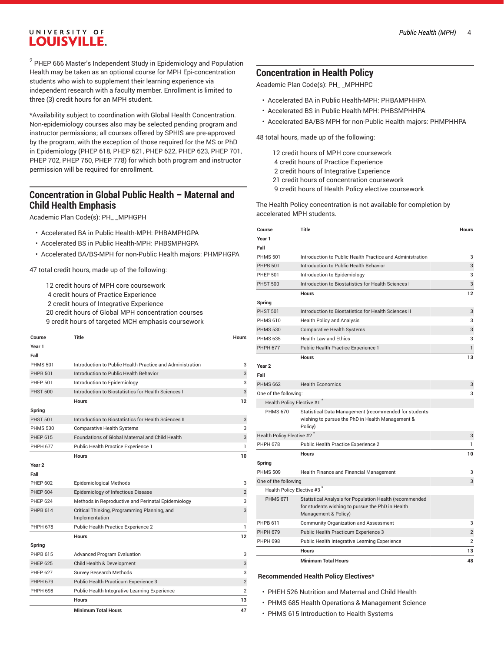$^{\rm 2}$  PHEP 666 Master's Independent Study in Epidemiology and Population Health may be taken as an optional course for MPH Epi-concentration students who wish to supplement their learning experience via independent research with a faculty member. Enrollment is limited to three (3) credit hours for an MPH student.

\*Availability subject to coordination with Global Health Concentration. Non-epidemiology courses also may be selected pending program and instructor permissions; all courses offered by SPHIS are pre-approved by the program, with the exception of those required for the MS or PhD in Epidemiology (PHEP 618, PHEP 621, PHEP 622, PHEP 623, PHEP 701, PHEP 702, PHEP 750, PHEP 778) for which both program and instructor permission will be required for enrollment.

### **Concentration in Global Public Health – Maternal and Child Health Emphasis**

Academic Plan Code(s): PH\_ \_MPHGPH

- Accelerated BA in Public Health-MPH: PHBAMPHGPA
- Accelerated BS in Public Health-MPH: PHBSMPHGPA
- Accelerated BA/BS-MPH for non-Public Health majors: PHMPHGPA

47 total credit hours, made up of the following:

 credit hours of MPH core coursework credit hours of Practice Experience credit hours of Integrative Experience credit hours of Global MPH concentration courses credit hours of targeted MCH emphasis coursework

| Course            | <b>Title</b>                                                   | <b>Hours</b>   |
|-------------------|----------------------------------------------------------------|----------------|
| Year 1            |                                                                |                |
| Fall              |                                                                |                |
| <b>PHMS 501</b>   | Introduction to Public Health Practice and Administration      | 3              |
| <b>PHPB 501</b>   | Introduction to Public Health Behavior                         | 3              |
| <b>PHFP 501</b>   | Introduction to Epidemiology                                   | 3              |
| <b>PHST 500</b>   | Introduction to Biostatistics for Health Sciences I            | 3              |
|                   | <b>Hours</b>                                                   | 12             |
| Spring            |                                                                |                |
| <b>PHST 501</b>   | Introduction to Biostatistics for Health Sciences II           | 3              |
| <b>PHMS 530</b>   | <b>Comparative Health Systems</b>                              | 3              |
| <b>PHEP 615</b>   | Foundations of Global Maternal and Child Health                | 3              |
| <b>PHPH 677</b>   | Public Health Practice Experience 1                            | 1              |
|                   | <b>Hours</b>                                                   | 10             |
| Year <sub>2</sub> |                                                                |                |
| Fall              |                                                                |                |
| <b>PHEP 602</b>   | <b>Epidemiological Methods</b>                                 | 3              |
| <b>PHEP 604</b>   | Epidemiology of Infectious Disease                             | $\overline{2}$ |
| <b>PHFP 624</b>   | Methods in Reproductive and Perinatal Epidemiology             | 3              |
| <b>PHPB 614</b>   | Critical Thinking, Programming Planning, and<br>Implementation | 3              |
| <b>PHPH 678</b>   | Public Health Practice Experience 2                            | 1              |
|                   | <b>Hours</b>                                                   | 12             |
| Spring            |                                                                |                |
| PHPB 615          | <b>Advanced Program Evaluation</b>                             | 3              |
| <b>PHEP 625</b>   | Child Health & Development                                     | 3              |
| <b>PHEP 627</b>   | Survey Research Methods                                        | 3              |
| <b>PHPH 679</b>   | Public Health Practicum Experience 3                           | $\overline{2}$ |
| <b>PHPH 698</b>   | Public Health Integrative Learning Experience                  | $\overline{2}$ |
|                   | <b>Hours</b>                                                   | 13             |
|                   | <b>Minimum Total Hours</b>                                     | 47             |

### **Concentration in Health Policy**

Academic Plan Code(s): PH\_ \_MPHHPC

- Accelerated BA in Public Health-MPH: PHBAMPHHPA
- Accelerated BS in Public Health-MPH: PHBSMPHHPA
- Accelerated BA/BS-MPH for non-Public Health majors: PHMPHHPA

48 total hours, made up of the following:

 credit hours of MPH core coursework credit hours of Practice Experience credit hours of Integrative Experience credit hours of concentration coursework credit hours of Health Policy elective coursework

The Health Policy concentration is not available for completion by accelerated MPH students.

| Course                    | <b>Title</b>                                                                                                                        | <b>Hours</b>   |
|---------------------------|-------------------------------------------------------------------------------------------------------------------------------------|----------------|
| Year 1                    |                                                                                                                                     |                |
| Fall                      |                                                                                                                                     |                |
| <b>PHMS 501</b>           | Introduction to Public Health Practice and Administration                                                                           | 3              |
| <b>PHPB 501</b>           | Introduction to Public Health Behavior                                                                                              | 3              |
| <b>PHEP 501</b>           | Introduction to Epidemiology                                                                                                        | 3              |
| <b>PHST 500</b>           | Introduction to Biostatistics for Health Sciences I                                                                                 | 3              |
|                           | <b>Hours</b>                                                                                                                        | 12             |
| Spring                    |                                                                                                                                     |                |
| <b>PHST 501</b>           | Introduction to Biostatistics for Health Sciences II                                                                                | 3              |
| <b>PHMS 610</b>           | Health Policy and Analysis                                                                                                          | 3              |
| <b>PHMS 530</b>           | <b>Comparative Health Systems</b>                                                                                                   | 3              |
| <b>PHMS 635</b>           | <b>Health Law and Ethics</b>                                                                                                        | 3              |
| <b>PHPH 677</b>           | <b>Public Health Practice Experience 1</b>                                                                                          | $\mathbf{1}$   |
|                           | <b>Hours</b>                                                                                                                        | 13             |
| Year <sub>2</sub>         |                                                                                                                                     |                |
| Fall                      |                                                                                                                                     |                |
| <b>PHMS 662</b>           | <b>Health Economics</b>                                                                                                             | 3              |
| One of the following:     |                                                                                                                                     | 3              |
| Health Policy Elective #1 |                                                                                                                                     |                |
| <b>PHMS 670</b>           | Statistical Data Management (recommended for students<br>wishing to pursue the PhD in Health Management &<br>Policy)                |                |
| Health Policy Elective #2 |                                                                                                                                     | 3              |
| <b>PHPH 678</b>           | Public Health Practice Experience 2                                                                                                 | 1              |
|                           | <b>Hours</b>                                                                                                                        | 10             |
| Spring                    |                                                                                                                                     |                |
| <b>PHMS 509</b>           | Health Finance and Financial Management                                                                                             | 3              |
| One of the following      |                                                                                                                                     | 3              |
| Health Policy Elective #3 |                                                                                                                                     |                |
| <b>PHMS 671</b>           | Statistical Analysis for Population Health (recommended<br>for students wishing to pursue the PhD in Health<br>Management & Policy) |                |
| PHPB 611                  | Community Organization and Assessment                                                                                               | 3              |
| <b>PHPH 679</b>           | Public Health Practicum Experience 3                                                                                                | $\overline{2}$ |
| <b>PHPH 698</b>           | Public Health Integrative Learning Experience                                                                                       | $\overline{2}$ |
|                           | <b>Hours</b>                                                                                                                        | 13             |
|                           | <b>Minimum Total Hours</b>                                                                                                          | 48             |

#### **Recommended Health Policy Electives\***

- PHEH 526 Nutrition and Maternal and Child Health
- PHMS 685 Health Operations & Management Science
- PHMS 615 Introduction to Health Systems